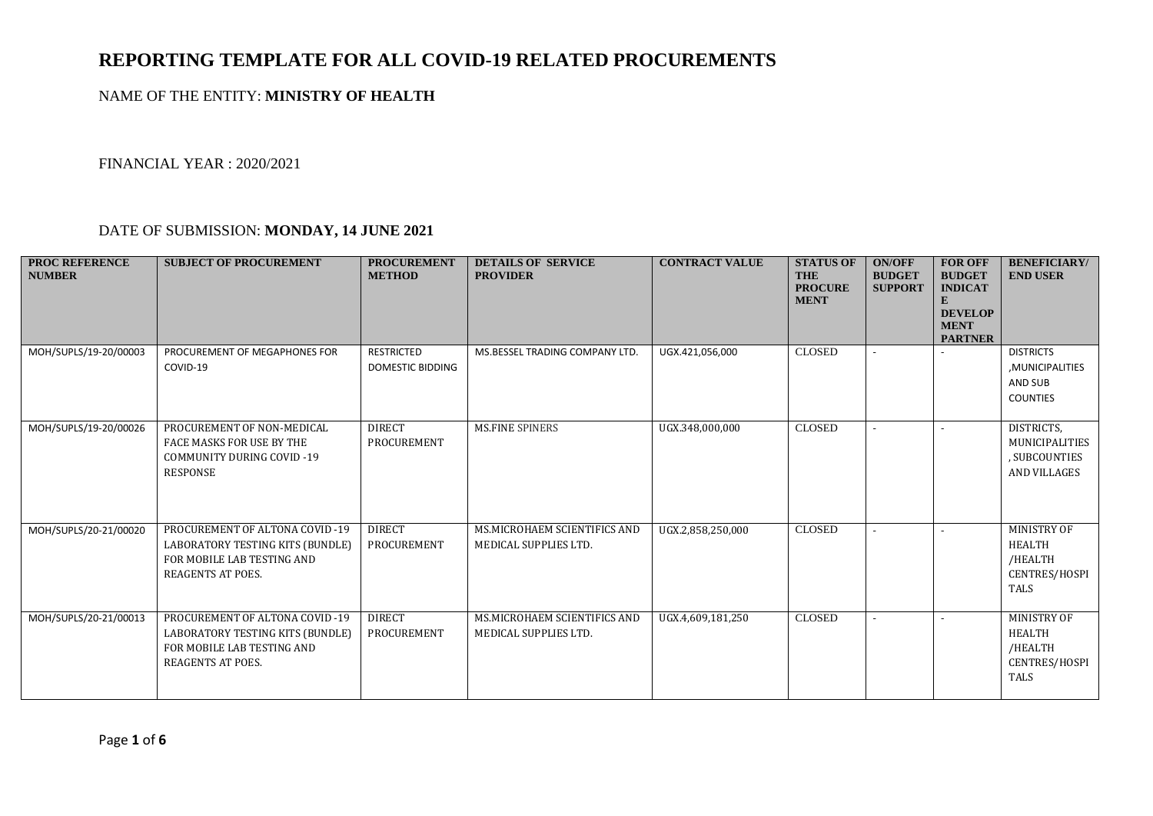## **REPORTING TEMPLATE FOR ALL COVID-19 RELATED PROCUREMENTS**

## NAME OF THE ENTITY: **MINISTRY OF HEALTH**

FINANCIAL YEAR : 2020/2021

## DATE OF SUBMISSION: **MONDAY, 14 JUNE 2021**

| <b>PROC REFERENCE</b><br><b>NUMBER</b> | <b>SUBJECT OF PROCUREMENT</b>                                                                                                | <b>PROCUREMENT</b><br><b>METHOD</b>   | <b>DETAILS OF SERVICE</b><br><b>PROVIDER</b>          | <b>CONTRACT VALUE</b> | <b>STATUS OF</b><br><b>THE</b><br><b>PROCURE</b><br><b>MENT</b> | <b>ON/OFF</b><br><b>BUDGET</b><br><b>SUPPORT</b> | <b>FOR OFF</b><br><b>BUDGET</b><br><b>INDICAT</b><br>E<br><b>DEVELOP</b><br><b>MENT</b><br><b>PARTNER</b> | <b>BENEFICIARY/</b><br><b>END USER</b>                                                |
|----------------------------------------|------------------------------------------------------------------------------------------------------------------------------|---------------------------------------|-------------------------------------------------------|-----------------------|-----------------------------------------------------------------|--------------------------------------------------|-----------------------------------------------------------------------------------------------------------|---------------------------------------------------------------------------------------|
| MOH/SUPLS/19-20/00003                  | PROCUREMENT OF MEGAPHONES FOR<br>COVID-19                                                                                    | <b>RESTRICTED</b><br>DOMESTIC BIDDING | MS.BESSEL TRADING COMPANY LTD.                        | UGX.421,056,000       | <b>CLOSED</b>                                                   |                                                  |                                                                                                           | <b>DISTRICTS</b><br>, MUNICIPALITIES<br>AND SUB<br><b>COUNTIES</b>                    |
| MOH/SUPLS/19-20/00026                  | PROCUREMENT OF NON-MEDICAL<br>FACE MASKS FOR USE BY THE<br><b>COMMUNITY DURING COVID-19</b><br><b>RESPONSE</b>               | <b>DIRECT</b><br>PROCUREMENT          | <b>MS.FINE SPINERS</b>                                | UGX.348,000,000       | <b>CLOSED</b>                                                   |                                                  |                                                                                                           | DISTRICTS,<br>MUNICIPALITIES<br>, SUBCOUNTIES<br><b>AND VILLAGES</b>                  |
| MOH/SUPLS/20-21/00020                  | PROCUREMENT OF ALTONA COVID-19<br>LABORATORY TESTING KITS (BUNDLE)<br>FOR MOBILE LAB TESTING AND<br><b>REAGENTS AT POES.</b> | <b>DIRECT</b><br>PROCUREMENT          | MS.MICROHAEM SCIENTIFICS AND<br>MEDICAL SUPPLIES LTD. | UGX.2,858,250,000     | <b>CLOSED</b>                                                   |                                                  |                                                                                                           | <b>MINISTRY OF</b><br>HEALTH<br>/HEALTH<br>CENTRES/HOSPI<br><b>TALS</b>               |
| MOH/SUPLS/20-21/00013                  | PROCUREMENT OF ALTONA COVID-19<br>LABORATORY TESTING KITS (BUNDLE)<br>FOR MOBILE LAB TESTING AND<br><b>REAGENTS AT POES.</b> | <b>DIRECT</b><br>PROCUREMENT          | MS.MICROHAEM SCIENTIFICS AND<br>MEDICAL SUPPLIES LTD. | UGX.4,609,181,250     | <b>CLOSED</b>                                                   |                                                  |                                                                                                           | <b>MINISTRY OF</b><br><b>HEALTH</b><br>/HEALTH<br><b>CENTRES/HOSPI</b><br><b>TALS</b> |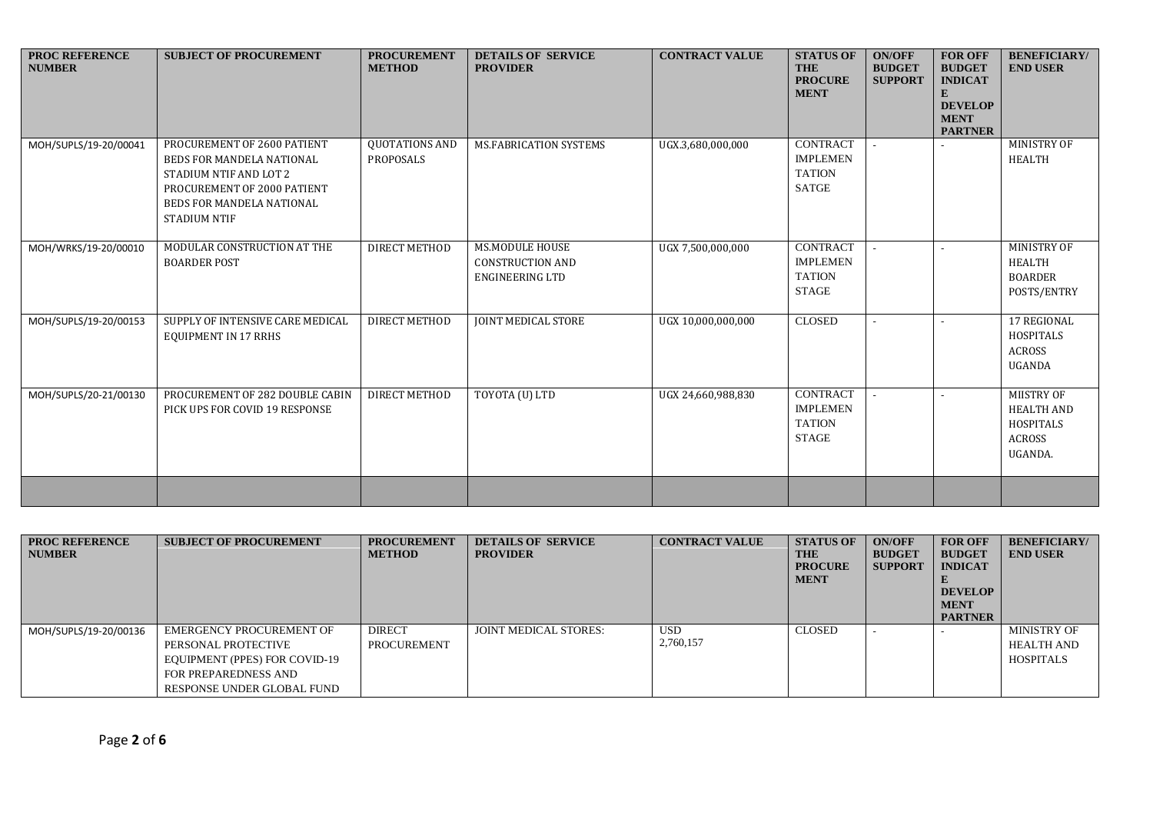| <b>PROC REFERENCE</b><br><b>NUMBER</b> | <b>SUBJECT OF PROCUREMENT</b>                                                                                                                                         | <b>PROCUREMENT</b><br><b>METHOD</b> | <b>DETAILS OF SERVICE</b><br><b>PROVIDER</b>                                | <b>CONTRACT VALUE</b> | <b>STATUS OF</b><br><b>THE</b><br><b>PROCURE</b><br><b>MENT</b>     | <b>ON/OFF</b><br><b>BUDGET</b><br><b>SUPPORT</b> | <b>FOR OFF</b><br><b>BUDGET</b><br><b>INDICAT</b><br>E<br><b>DEVELOP</b><br><b>MENT</b><br><b>PARTNER</b> | <b>BENEFICIARY/</b><br><b>END USER</b>                                          |
|----------------------------------------|-----------------------------------------------------------------------------------------------------------------------------------------------------------------------|-------------------------------------|-----------------------------------------------------------------------------|-----------------------|---------------------------------------------------------------------|--------------------------------------------------|-----------------------------------------------------------------------------------------------------------|---------------------------------------------------------------------------------|
| MOH/SUPLS/19-20/00041                  | PROCUREMENT OF 2600 PATIENT<br>BEDS FOR MANDELA NATIONAL<br>STADIUM NTIF AND LOT 2<br>PROCUREMENT OF 2000 PATIENT<br>BEDS FOR MANDELA NATIONAL<br><b>STADIUM NTIF</b> | QUOTATIONS AND<br>PROPOSALS         | MS.FABRICATION SYSTEMS                                                      | UGX.3,680,000,000     | <b>CONTRACT</b><br><b>IMPLEMEN</b><br><b>TATION</b><br><b>SATGE</b> |                                                  |                                                                                                           | MINISTRY OF<br>HEALTH                                                           |
| MOH/WRKS/19-20/00010                   | MODULAR CONSTRUCTION AT THE<br><b>BOARDER POST</b>                                                                                                                    | DIRECT METHOD                       | <b>MS.MODULE HOUSE</b><br><b>CONSTRUCTION AND</b><br><b>ENGINEERING LTD</b> | UGX 7,500,000,000     | <b>CONTRACT</b><br><b>IMPLEMEN</b><br><b>TATION</b><br><b>STAGE</b> |                                                  |                                                                                                           | MINISTRY OF<br><b>HEALTH</b><br><b>BOARDER</b><br>POSTS/ENTRY                   |
| MOH/SUPLS/19-20/00153                  | SUPPLY OF INTENSIVE CARE MEDICAL<br><b>EQUIPMENT IN 17 RRHS</b>                                                                                                       | DIRECT METHOD                       | <b>JOINT MEDICAL STORE</b>                                                  | UGX 10,000,000,000    | <b>CLOSED</b>                                                       |                                                  |                                                                                                           | 17 REGIONAL<br><b>HOSPITALS</b><br><b>ACROSS</b><br><b>UGANDA</b>               |
| MOH/SUPLS/20-21/00130                  | PROCUREMENT OF 282 DOUBLE CABIN<br>PICK UPS FOR COVID 19 RESPONSE                                                                                                     | <b>DIRECT METHOD</b>                | TOYOTA (U) LTD                                                              | UGX 24,660,988,830    | <b>CONTRACT</b><br><b>IMPLEMEN</b><br><b>TATION</b><br><b>STAGE</b> |                                                  |                                                                                                           | MIISTRY OF<br><b>HEALTH AND</b><br><b>HOSPITALS</b><br><b>ACROSS</b><br>UGANDA. |
|                                        |                                                                                                                                                                       |                                     |                                                                             |                       |                                                                     |                                                  |                                                                                                           |                                                                                 |

| <b>PROC REFERENCE</b><br><b>NUMBER</b> | <b>SUBJECT OF PROCUREMENT</b>                                                                                                          | <b>PROCUREMENT</b><br><b>METHOD</b> | <b>DETAILS OF SERVICE</b><br><b>PROVIDER</b> | <b>CONTRACT VALUE</b>   | <b>STATUS OF</b><br><b>THE</b><br><b>PROCURE</b><br><b>MENT</b> | <b>ON/OFF</b><br><b>BUDGET</b><br><b>SUPPORT</b> | <b>FOR OFF</b><br><b>BUDGET</b><br><b>INDICAT</b><br><b>DEVELOP</b><br><b>MENT</b><br><b>PARTNER</b> | <b>BENEFICIARY/</b><br><b>END USER</b>               |
|----------------------------------------|----------------------------------------------------------------------------------------------------------------------------------------|-------------------------------------|----------------------------------------------|-------------------------|-----------------------------------------------------------------|--------------------------------------------------|------------------------------------------------------------------------------------------------------|------------------------------------------------------|
| MOH/SUPLS/19-20/00136                  | EMERGENCY PROCUREMENT OF<br>PERSONAL PROTECTIVE<br>EQUIPMENT (PPES) FOR COVID-19<br>FOR PREPAREDNESS AND<br>RESPONSE UNDER GLOBAL FUND | <b>DIRECT</b><br><b>PROCUREMENT</b> | <b>JOINT MEDICAL STORES:</b>                 | <b>USD</b><br>2,760,157 | <b>CLOSED</b>                                                   |                                                  |                                                                                                      | MINISTRY OF<br><b>HEALTH AND</b><br><b>HOSPITALS</b> |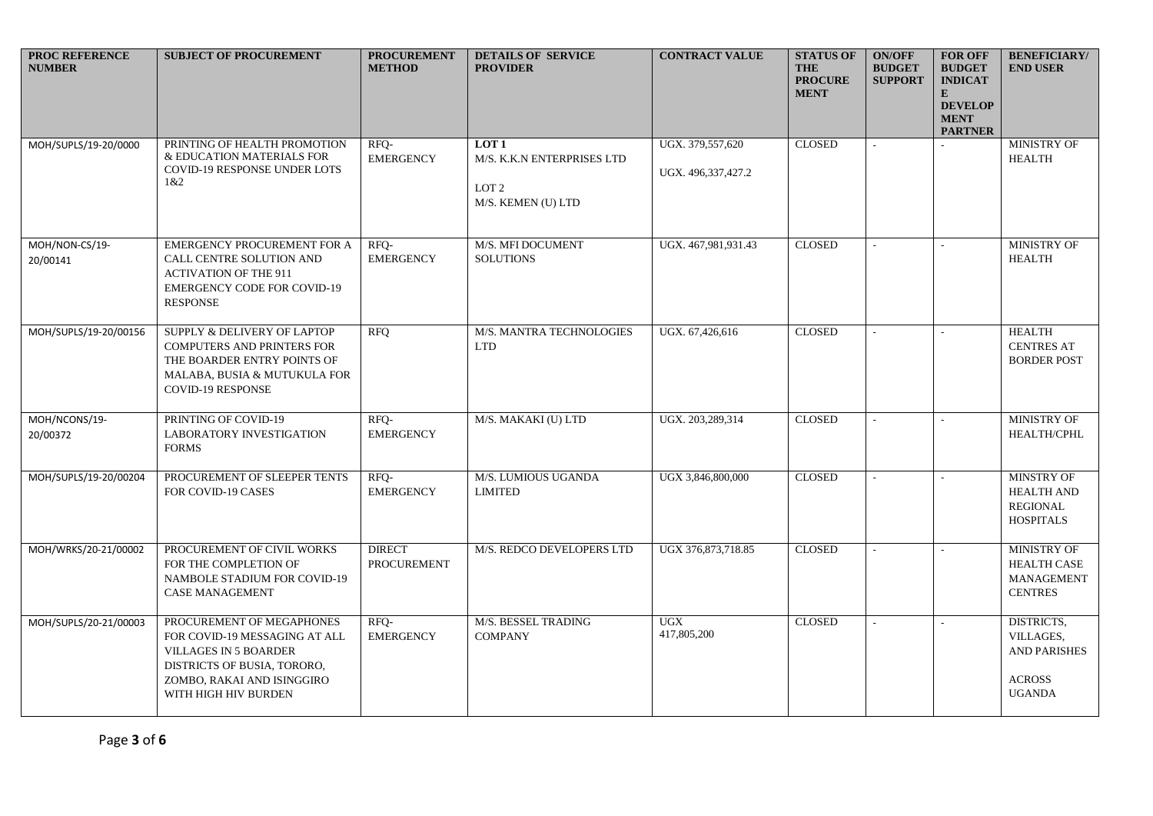| <b>PROC REFERENCE</b><br><b>NUMBER</b> | <b>SUBJECT OF PROCUREMENT</b>                                                                                                                                                   | <b>PROCUREMENT</b><br><b>METHOD</b> | <b>DETAILS OF SERVICE</b><br><b>PROVIDER</b>                                             | <b>CONTRACT VALUE</b>                  | <b>STATUS OF</b><br><b>THE</b><br><b>PROCURE</b><br><b>MENT</b> | <b>ON/OFF</b><br><b>BUDGET</b><br><b>SUPPORT</b> | <b>FOR OFF</b><br><b>BUDGET</b><br><b>INDICAT</b><br>$\mathbf{E}$<br><b>DEVELOP</b><br><b>MENT</b><br><b>PARTNER</b> | <b>BENEFICIARY/</b><br><b>END USER</b>                                           |
|----------------------------------------|---------------------------------------------------------------------------------------------------------------------------------------------------------------------------------|-------------------------------------|------------------------------------------------------------------------------------------|----------------------------------------|-----------------------------------------------------------------|--------------------------------------------------|----------------------------------------------------------------------------------------------------------------------|----------------------------------------------------------------------------------|
| MOH/SUPLS/19-20/0000                   | PRINTING OF HEALTH PROMOTION<br>& EDUCATION MATERIALS FOR<br>COVID-19 RESPONSE UNDER LOTS<br>1 & 2                                                                              | RFQ-<br><b>EMERGENCY</b>            | LOT <sub>1</sub><br>M/S. K.K.N ENTERPRISES LTD<br>LOT <sub>2</sub><br>M/S. KEMEN (U) LTD | UGX. 379,557,620<br>UGX. 496,337,427.2 | <b>CLOSED</b>                                                   |                                                  |                                                                                                                      | <b>MINISTRY OF</b><br><b>HEALTH</b>                                              |
| MOH/NON-CS/19-<br>20/00141             | EMERGENCY PROCUREMENT FOR A<br>CALL CENTRE SOLUTION AND<br><b>ACTIVATION OF THE 911</b><br><b>EMERGENCY CODE FOR COVID-19</b><br><b>RESPONSE</b>                                | RFQ-<br><b>EMERGENCY</b>            | M/S. MFI DOCUMENT<br><b>SOLUTIONS</b>                                                    | UGX. 467,981,931.43                    | <b>CLOSED</b>                                                   |                                                  |                                                                                                                      | MINISTRY OF<br><b>HEALTH</b>                                                     |
| MOH/SUPLS/19-20/00156                  | SUPPLY & DELIVERY OF LAPTOP<br>COMPUTERS AND PRINTERS FOR<br>THE BOARDER ENTRY POINTS OF<br>MALABA, BUSIA & MUTUKULA FOR<br><b>COVID-19 RESPONSE</b>                            | <b>RFQ</b>                          | M/S. MANTRA TECHNOLOGIES<br><b>LTD</b>                                                   | UGX, 67,426,616                        | <b>CLOSED</b>                                                   |                                                  |                                                                                                                      | <b>HEALTH</b><br><b>CENTRES AT</b><br><b>BORDER POST</b>                         |
| MOH/NCONS/19-<br>20/00372              | PRINTING OF COVID-19<br><b>LABORATORY INVESTIGATION</b><br><b>FORMS</b>                                                                                                         | RFQ-<br><b>EMERGENCY</b>            | M/S. MAKAKI (U) LTD                                                                      | UGX. 203,289,314                       | <b>CLOSED</b>                                                   | $\overline{a}$                                   |                                                                                                                      | <b>MINISTRY OF</b><br>HEALTH/CPHL                                                |
| MOH/SUPLS/19-20/00204                  | PROCUREMENT OF SLEEPER TENTS<br>FOR COVID-19 CASES                                                                                                                              | RFQ-<br><b>EMERGENCY</b>            | M/S. LUMIOUS UGANDA<br><b>LIMITED</b>                                                    | UGX 3,846,800,000                      | <b>CLOSED</b>                                                   |                                                  |                                                                                                                      | MINSTRY OF<br><b>HEALTH AND</b><br><b>REGIONAL</b><br><b>HOSPITALS</b>           |
| MOH/WRKS/20-21/00002                   | PROCUREMENT OF CIVIL WORKS<br>FOR THE COMPLETION OF<br>NAMBOLE STADIUM FOR COVID-19<br><b>CASE MANAGEMENT</b>                                                                   | <b>DIRECT</b><br><b>PROCUREMENT</b> | M/S. REDCO DEVELOPERS LTD                                                                | UGX 376,873,718.85                     | <b>CLOSED</b>                                                   | $\overline{a}$                                   |                                                                                                                      | <b>MINISTRY OF</b><br><b>HEALTH CASE</b><br><b>MANAGEMENT</b><br><b>CENTRES</b>  |
| MOH/SUPLS/20-21/00003                  | PROCUREMENT OF MEGAPHONES<br>FOR COVID-19 MESSAGING AT ALL<br><b>VILLAGES IN 5 BOARDER</b><br>DISTRICTS OF BUSIA, TORORO,<br>ZOMBO, RAKAI AND ISINGGIRO<br>WITH HIGH HIV BURDEN | RFQ-<br><b>EMERGENCY</b>            | M/S. BESSEL TRADING<br><b>COMPANY</b>                                                    | <b>UGX</b><br>417,805,200              | <b>CLOSED</b>                                                   |                                                  |                                                                                                                      | DISTRICTS,<br>VILLAGES,<br><b>AND PARISHES</b><br><b>ACROSS</b><br><b>UGANDA</b> |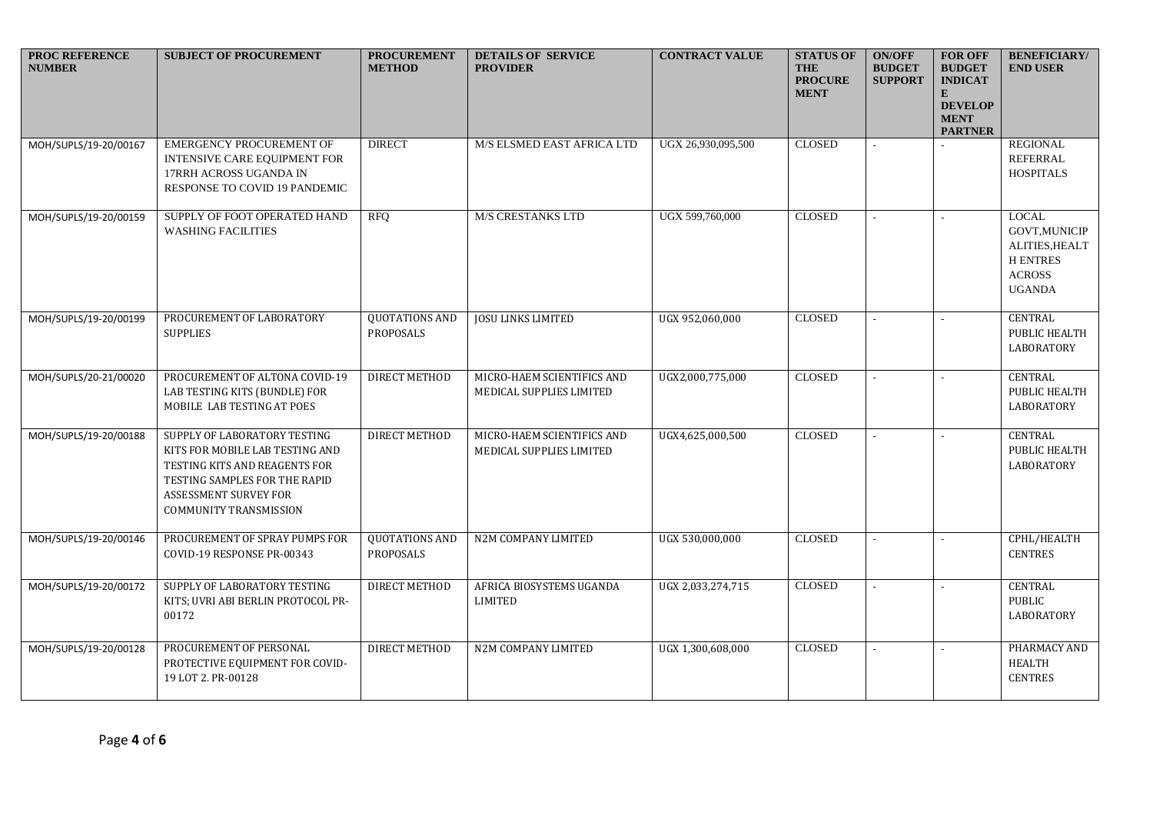| PROC REFERENCE<br><b>NUMBER</b> | <b>SUBJECT OF PROCUREMENT</b>                                                                                                                                                        | <b>PROCUREMENT</b><br><b>METHOD</b> | <b>DETAILS OF SERVICE</b><br><b>PROVIDER</b>           | <b>CONTRACT VALUE</b> | <b>STATUS OF</b><br><b>THE</b><br><b>PROCURE</b><br><b>MENT</b> | <b>ON/OFF</b><br><b>BUDGET</b><br><b>SUPPORT</b> | <b>FOR OFF</b><br><b>BUDGET</b><br><b>INDICAT</b><br>E<br><b>DEVELOP</b><br><b>MENT</b><br><b>PARTNER</b> | <b>BENEFICIARY/</b><br><b>END USER</b>                                                                |
|---------------------------------|--------------------------------------------------------------------------------------------------------------------------------------------------------------------------------------|-------------------------------------|--------------------------------------------------------|-----------------------|-----------------------------------------------------------------|--------------------------------------------------|-----------------------------------------------------------------------------------------------------------|-------------------------------------------------------------------------------------------------------|
| MOH/SUPLS/19-20/00167           | <b>EMERGENCY PROCUREMENT OF</b><br>INTENSIVE CARE EQUIPMENT FOR<br>17RRH ACROSS UGANDA IN<br>RESPONSE TO COVID 19 PANDEMIC                                                           | <b>DIRECT</b>                       | M/S ELSMED EAST AFRICA LTD                             | UGX 26,930,095,500    | <b>CLOSED</b>                                                   |                                                  |                                                                                                           | <b>REGIONAL</b><br><b>REFERRAL</b><br><b>HOSPITALS</b>                                                |
| MOH/SUPLS/19-20/00159           | SUPPLY OF FOOT OPERATED HAND<br><b>WASHING FACILITIES</b>                                                                                                                            | <b>RFQ</b>                          | <b>M/S CRESTANKS LTD</b>                               | UGX 599,760,000       | <b>CLOSED</b>                                                   |                                                  |                                                                                                           | $_{\rm LOCAL}$<br><b>GOVT, MUNICIP</b><br>ALITIES, HEALT<br><b>HENTRES</b><br>ACROSS<br><b>UGANDA</b> |
| MOH/SUPLS/19-20/00199           | PROCUREMENT OF LABORATORY<br><b>SUPPLIES</b>                                                                                                                                         | QUOTATIONS AND<br>PROPOSALS         | <b>JOSU LINKS LIMITED</b>                              | UGX 952,060,000       | <b>CLOSED</b>                                                   |                                                  |                                                                                                           | <b>CENTRAL</b><br>PUBLIC HEALTH<br>LABORATORY                                                         |
| MOH/SUPLS/20-21/00020           | PROCUREMENT OF ALTONA COVID-19<br>LAB TESTING KITS (BUNDLE) FOR<br>MOBILE LAB TESTING AT POES                                                                                        | <b>DIRECT METHOD</b>                | MICRO-HAEM SCIENTIFICS AND<br>MEDICAL SUPPLIES LIMITED | UGX2,000,775,000      | <b>CLOSED</b>                                                   |                                                  |                                                                                                           | <b>CENTRAL</b><br>PUBLIC HEALTH<br>LABORATORY                                                         |
| MOH/SUPLS/19-20/00188           | SUPPLY OF LABORATORY TESTING<br>KITS FOR MOBILE LAB TESTING AND<br>TESTING KITS AND REAGENTS FOR<br>TESTING SAMPLES FOR THE RAPID<br>ASSESSMENT SURVEY FOR<br>COMMUNITY TRANSMISSION | DIRECT METHOD                       | MICRO-HAEM SCIENTIFICS AND<br>MEDICAL SUPPLIES LIMITED | UGX4,625,000,500      | <b>CLOSED</b>                                                   |                                                  |                                                                                                           | <b>CENTRAL</b><br>PUBLIC HEALTH<br>LABORATORY                                                         |
| MOH/SUPLS/19-20/00146           | PROCUREMENT OF SPRAY PUMPS FOR<br>COVID-19 RESPONSE PR-00343                                                                                                                         | QUOTATIONS AND<br>PROPOSALS         | N2M COMPANY LIMITED                                    | UGX 530,000,000       | <b>CLOSED</b>                                                   |                                                  |                                                                                                           | CPHL/HEALTH<br><b>CENTRES</b>                                                                         |
| MOH/SUPLS/19-20/00172           | SUPPLY OF LABORATORY TESTING<br>KITS; UVRI ABI BERLIN PROTOCOL PR-<br>00172                                                                                                          | <b>DIRECT METHOD</b>                | AFRICA BIOSYSTEMS UGANDA<br><b>LIMITED</b>             | UGX 2,033,274,715     | <b>CLOSED</b>                                                   |                                                  |                                                                                                           | <b>CENTRAL</b><br>PUBLIC<br>LABORATORY                                                                |
| MOH/SUPLS/19-20/00128           | PROCUREMENT OF PERSONAL<br>PROTECTIVE EQUIPMENT FOR COVID-<br>19 LOT 2. PR-00128                                                                                                     | <b>DIRECT METHOD</b>                | N2M COMPANY LIMITED                                    | UGX 1,300,608,000     | <b>CLOSED</b>                                                   |                                                  |                                                                                                           | PHARMACY AND<br>HEALTH<br><b>CENTRES</b>                                                              |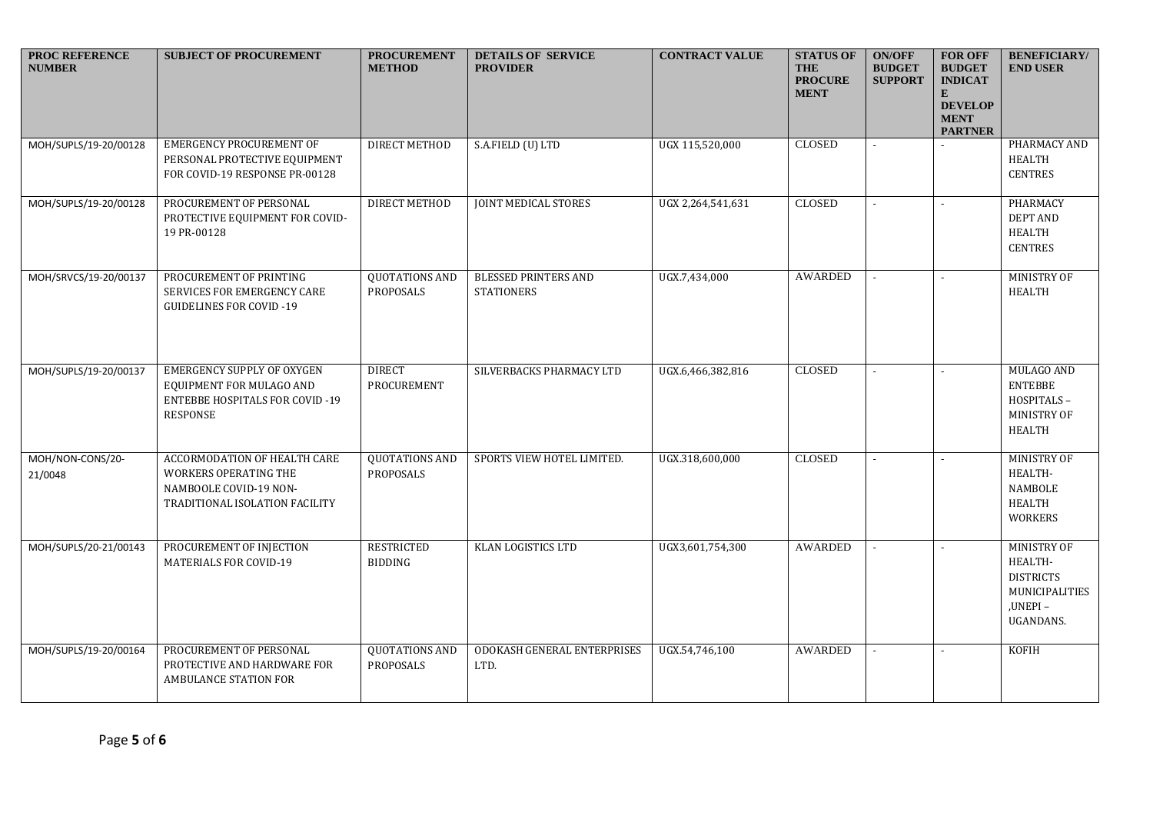| PROC REFERENCE<br><b>NUMBER</b> | <b>SUBJECT OF PROCUREMENT</b>                                                                                      | <b>PROCUREMENT</b><br><b>METHOD</b> | <b>DETAILS OF SERVICE</b><br><b>PROVIDER</b>     | <b>CONTRACT VALUE</b> | <b>STATUS OF</b><br><b>THE</b><br><b>PROCURE</b><br><b>MENT</b> | <b>ON/OFF</b><br><b>BUDGET</b><br><b>SUPPORT</b> | <b>FOR OFF</b><br><b>BUDGET</b><br><b>INDICAT</b><br>E<br><b>DEVELOP</b><br><b>MENT</b><br><b>PARTNER</b> | <b>BENEFICIARY/</b><br><b>END USER</b>                                               |
|---------------------------------|--------------------------------------------------------------------------------------------------------------------|-------------------------------------|--------------------------------------------------|-----------------------|-----------------------------------------------------------------|--------------------------------------------------|-----------------------------------------------------------------------------------------------------------|--------------------------------------------------------------------------------------|
| MOH/SUPLS/19-20/00128           | <b>EMERGENCY PROCUREMENT OF</b><br>PERSONAL PROTECTIVE EQUIPMENT<br>FOR COVID-19 RESPONSE PR-00128                 | DIRECT METHOD                       | S.A.FIELD (U) LTD                                | UGX 115,520,000       | <b>CLOSED</b>                                                   | $\sim$                                           |                                                                                                           | PHARMACY AND<br>HEALTH<br><b>CENTRES</b>                                             |
| MOH/SUPLS/19-20/00128           | PROCUREMENT OF PERSONAL<br>PROTECTIVE EQUIPMENT FOR COVID-<br>19 PR-00128                                          | <b>DIRECT METHOD</b>                | <b>JOINT MEDICAL STORES</b>                      | UGX 2,264,541,631     | <b>CLOSED</b>                                                   |                                                  |                                                                                                           | PHARMACY<br><b>DEPT AND</b><br>HEALTH<br><b>CENTRES</b>                              |
| MOH/SRVCS/19-20/00137           | PROCUREMENT OF PRINTING<br>SERVICES FOR EMERGENCY CARE<br><b>GUIDELINES FOR COVID-19</b>                           | <b>QUOTATIONS AND</b><br>PROPOSALS  | <b>BLESSED PRINTERS AND</b><br><b>STATIONERS</b> | UGX.7,434,000         | <b>AWARDED</b>                                                  | $\mathbf{r}$                                     |                                                                                                           | MINISTRY OF<br>HEALTH                                                                |
| MOH/SUPLS/19-20/00137           | <b>EMERGENCY SUPPLY OF OXYGEN</b><br>EQUIPMENT FOR MULAGO AND<br><b>ENTEBBE HOSPITALS FOR COVID-19</b><br>RESPONSE | <b>DIRECT</b><br>PROCUREMENT        | SILVERBACKS PHARMACY LTD                         | UGX.6,466,382,816     | <b>CLOSED</b>                                                   |                                                  |                                                                                                           | MULAGO AND<br><b>ENTEBBE</b><br>HOSPITALS-<br>MINISTRY OF<br><b>HEALTH</b>           |
| MOH/NON-CONS/20-<br>21/0048     | ACCORMODATION OF HEALTH CARE<br>WORKERS OPERATING THE<br>NAMBOOLE COVID-19 NON-<br>TRADITIONAL ISOLATION FACILITY  | <b>QUOTATIONS AND</b><br>PROPOSALS  | SPORTS VIEW HOTEL LIMITED.                       | UGX.318,600,000       | <b>CLOSED</b>                                                   |                                                  |                                                                                                           | MINISTRY OF<br>HEALTH-<br><b>NAMBOLE</b><br><b>HEALTH</b><br><b>WORKERS</b>          |
| MOH/SUPLS/20-21/00143           | PROCUREMENT OF INJECTION<br><b>MATERIALS FOR COVID-19</b>                                                          | <b>RESTRICTED</b><br><b>BIDDING</b> | <b>KLAN LOGISTICS LTD</b>                        | UGX3,601,754,300      | AWARDED                                                         | $\sim$                                           |                                                                                                           | MINISTRY OF<br>HEALTH-<br><b>DISTRICTS</b><br>MUNICIPALITIES<br>,UNEPI-<br>UGANDANS. |
| MOH/SUPLS/19-20/00164           | PROCUREMENT OF PERSONAL<br>PROTECTIVE AND HARDWARE FOR<br>AMBULANCE STATION FOR                                    | <b>QUOTATIONS AND</b><br>PROPOSALS  | ODOKASH GENERAL ENTERPRISES<br>LTD.              | UGX.54,746,100        | <b>AWARDED</b>                                                  |                                                  |                                                                                                           | <b>KOFIH</b>                                                                         |